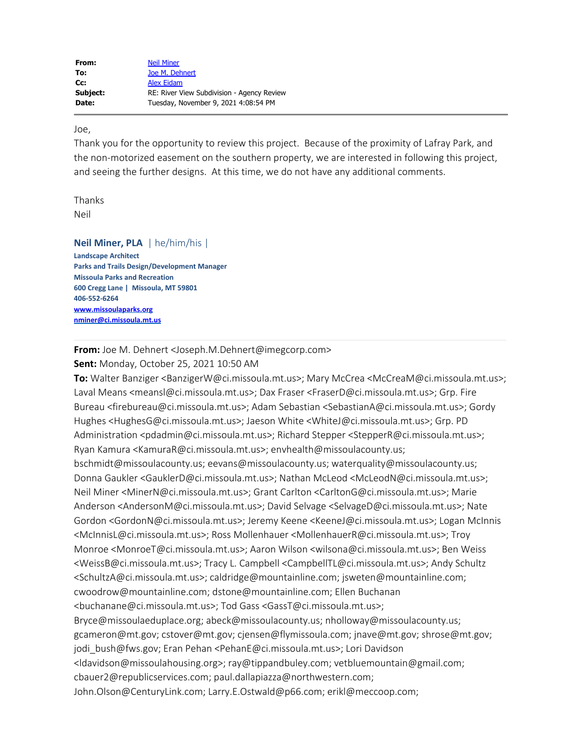Joe,

Thank you for the opportunity to review this project. Because of the proximity of Lafray Park, and the non-motorized easement on the southern property, we are interested in following this project, and seeing the further designs. At this time, we do not have any additional comments.

Thanks Neil

**Neil Miner, PLA** | he/him/his | **Landscape Architect Parks and Trails Design/Development Manager Missoula Parks and Recreation 600 Cregg Lane | Missoula, MT 59801 406-552-6264 [www.missoulaparks.org](http://www.missoulaparks.org/) [nminer@ci.missoula.mt.us](mailto:nminer@ci.missoula.mt.us)**

**From:** Joe M. Dehnert <Joseph.M.Dehnert@imegcorp.com> **Sent:** Monday, October 25, 2021 10:50 AM

**To:** Walter Banziger <BanzigerW@ci.missoula.mt.us>; Mary McCrea <McCreaM@ci.missoula.mt.us>; Laval Means <meansl@ci.missoula.mt.us>; Dax Fraser <FraserD@ci.missoula.mt.us>; Grp. Fire Bureau <firebureau@ci.missoula.mt.us>; Adam Sebastian <SebastianA@ci.missoula.mt.us>; Gordy Hughes <HughesG@ci.missoula.mt.us>; Jaeson White <WhiteJ@ci.missoula.mt.us>; Grp. PD Administration <pdadmin@ci.missoula.mt.us>; Richard Stepper <StepperR@ci.missoula.mt.us>; Ryan Kamura <KamuraR@ci.missoula.mt.us>; envhealth@missoulacounty.us; bschmidt@missoulacounty.us; eevans@missoulacounty.us; waterquality@missoulacounty.us; Donna Gaukler <GauklerD@ci.missoula.mt.us>; Nathan McLeod <McLeodN@ci.missoula.mt.us>; Neil Miner <MinerN@ci.missoula.mt.us>; Grant Carlton <CarltonG@ci.missoula.mt.us>; Marie Anderson <AndersonM@ci.missoula.mt.us>; David Selvage <SelvageD@ci.missoula.mt.us>; Nate Gordon <GordonN@ci.missoula.mt.us>; Jeremy Keene <KeeneJ@ci.missoula.mt.us>; Logan McInnis <McInnisL@ci.missoula.mt.us>; Ross Mollenhauer <MollenhauerR@ci.missoula.mt.us>; Troy Monroe <MonroeT@ci.missoula.mt.us>; Aaron Wilson <wilsona@ci.missoula.mt.us>; Ben Weiss <WeissB@ci.missoula.mt.us>; Tracy L. Campbell <CampbellTL@ci.missoula.mt.us>; Andy Schultz <SchultzA@ci.missoula.mt.us>; caldridge@mountainline.com; jsweten@mountainline.com; cwoodrow@mountainline.com; dstone@mountainline.com; Ellen Buchanan <buchanane@ci.missoula.mt.us>; Tod Gass <GassT@ci.missoula.mt.us>; Bryce@missoulaeduplace.org; abeck@missoulacounty.us; nholloway@missoulacounty.us; gcameron@mt.gov; cstover@mt.gov; cjensen@flymissoula.com; jnave@mt.gov; shrose@mt.gov; jodi\_bush@fws.gov; Eran Pehan <PehanE@ci.missoula.mt.us>; Lori Davidson <ldavidson@missoulahousing.org>; ray@tippandbuley.com; vetbluemountain@gmail.com; cbauer2@republicservices.com; paul.dallapiazza@northwestern.com; John.Olson@CenturyLink.com; Larry.E.Ostwald@p66.com; erikl@meccoop.com;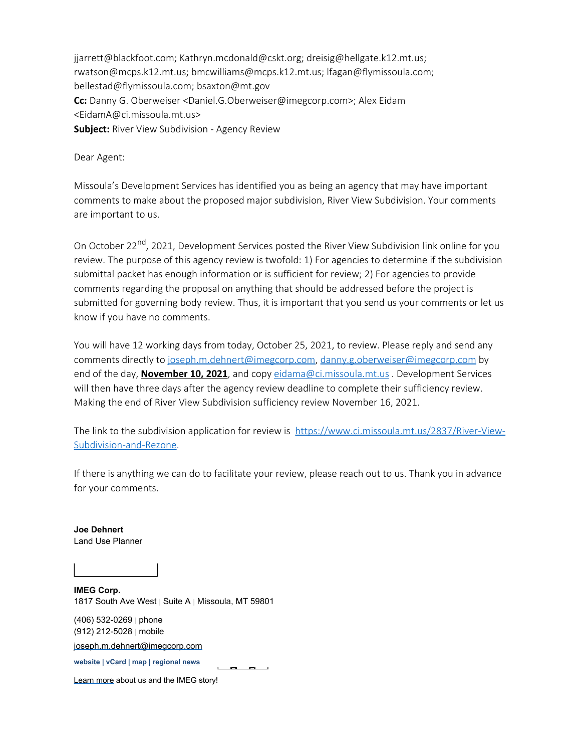jjarrett@blackfoot.com; Kathryn.mcdonald@cskt.org; dreisig@hellgate.k12.mt.us; rwatson@mcps.k12.mt.us; bmcwilliams@mcps.k12.mt.us; lfagan@flymissoula.com; bellestad@flymissoula.com; bsaxton@mt.gov **Cc:** Danny G. Oberweiser <Daniel.G.Oberweiser@imegcorp.com>; Alex Eidam <EidamA@ci.missoula.mt.us> **Subject:** River View Subdivision - Agency Review

Dear Agent:

Missoula's Development Services has identified you as being an agency that may have important comments to make about the proposed major subdivision, River View Subdivision. Your comments are important to us.

On October 22<sup>nd</sup>, 2021, Development Services posted the River View Subdivision link online for you review. The purpose of this agency review is twofold: 1) For agencies to determine if the subdivision submittal packet has enough information or is sufficient for review; 2) For agencies to provide comments regarding the proposal on anything that should be addressed before the project is submitted for governing body review. Thus, it is important that you send us your comments or let us know if you have no comments.

You will have 12 working days from today, October 25, 2021, to review. Please reply and send any comments directly to [joseph.m.dehnert@imegcorp.com](mailto:joseph.m.dehnert@imegcorp.com), [danny.g.oberweiser@imegcorp.com](mailto:danny.g.oberweiser@imegcorp.com) by end of the day, **November 10, 2021**, and copy [eidama@ci.missoula.mt.us](mailto:eidama@ci.missoula.mt.us) . Development Services will then have three days after the agency review deadline to complete their sufficiency review. Making the end of River View Subdivision sufficiency review November 16, 2021.

The link to the subdivision application for review is [https://www.ci.missoula.mt.us/2837/River-View-](https://nam04.safelinks.protection.outlook.com/?url=https%3A%2F%2Fwww.ci.missoula.mt.us%2F2837%2FRiver-View-Subdivision-and-Rezone&data=04%7C01%7CJoseph.M.Dehnert%40imegcorp.com%7C1368624d900d443f70e008d995874088%7C7b8f7acce1c0467a86e9678144da7881%7C1%7C0%7C637705230446421963%7CUnknown%7CTWFpbGZsb3d8eyJWIjoiMC4wLjAwMDAiLCJQIjoiV2luMzIiLCJBTiI6Ik1haWwiLCJXVCI6Mn0%3D%7C1000&sdata=Lkd69QpaKrzzmrLdMx9PVq1pazLPPKyD7P%2B0TFqdfkg%3D&reserved=0)[Subdivision-and-Rezone](https://nam04.safelinks.protection.outlook.com/?url=https%3A%2F%2Fwww.ci.missoula.mt.us%2F2837%2FRiver-View-Subdivision-and-Rezone&data=04%7C01%7CJoseph.M.Dehnert%40imegcorp.com%7C1368624d900d443f70e008d995874088%7C7b8f7acce1c0467a86e9678144da7881%7C1%7C0%7C637705230446421963%7CUnknown%7CTWFpbGZsb3d8eyJWIjoiMC4wLjAwMDAiLCJQIjoiV2luMzIiLCJBTiI6Ik1haWwiLCJXVCI6Mn0%3D%7C1000&sdata=Lkd69QpaKrzzmrLdMx9PVq1pazLPPKyD7P%2B0TFqdfkg%3D&reserved=0).

If there is anything we can do to facilitate your review, please reach out to us. Thank you in advance for your comments.

**Joe Dehnert** Land Use Planner

**IMEG Corp.** 1817 South Ave West | Suite A | Missoula, MT 59801

(406) 532-0269 | phone (912) 212-5028 | mobile

[joseph.m.dehnert@imegcorp.com](mailto:joseph.m.dehnert@imegcorp.com)

**[website](https://www.imegcorp.com/) | [vCard](https://dynasend.com/signatures/vcard/joseph.m.dehnert-at-imegcorp.com.vcf) | [map](https://www.google.com/maps/place/1817+South+Ave+W,+Missoula,+MT+59801/@46.8480356,-114.0272793,17z/data=!3m1!4b1!4m5!3m4!1s0x535dcdf29ff2db53:0x9cb98fb330b7c9bf!8m2!3d46.8480356!4d-114.0250906?hl=en) | [regional news](https://www.imegcorp.com/location/upper-mountain-state-region/)**

[Learn more](https://www.imegcorp.com/about/our-story/) about us and the IMEG story!